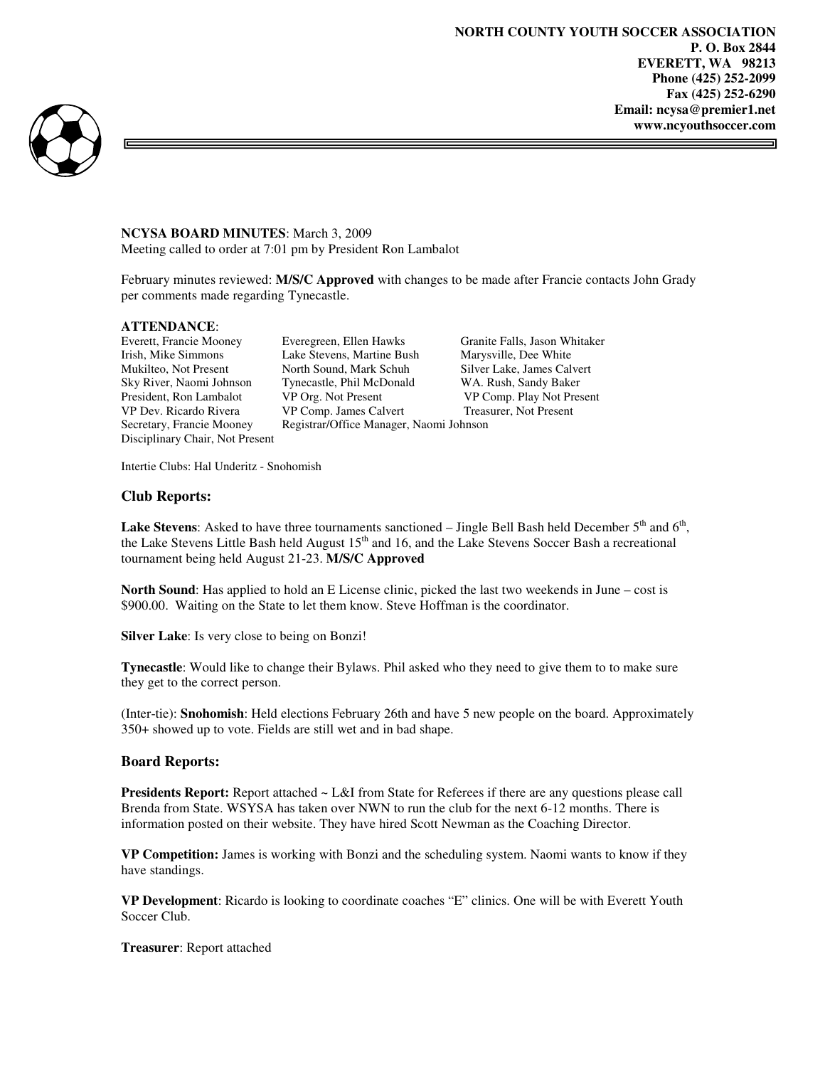∃



### **NCYSA BOARD MINUTES**: March 3, 2009

Meeting called to order at 7:01 pm by President Ron Lambalot

February minutes reviewed: **M/S/C Approved** with changes to be made after Francie contacts John Grady per comments made regarding Tynecastle.

### **ATTENDANCE**:

Disciplinary Chair, Not Present

Everett, Francie Mooney Everegreen, Ellen Hawks Granite Falls, Jason Whitaker Irish, Mike Simmons Lake Stevens, Martine Bush Marysville, Dee White Mukilteo, Not Present North Sound, Mark Schuh Silver Lake, James Calvert Sky River, Naomi Johnson Tynecastle, Phil McDonald WA. Rush, Sandy Baker President, Ron Lambalot VP Org. Not Present VP Comp. Play Not Present VP Dev. Ricardo Rivera VP Comp. James Calvert Treasurer, Not Present Secretary, Francie Mooney Registrar/Office Manager, Naomi Johnson

Intertie Clubs: Hal Underitz - Snohomish

### **Club Reports:**

**Lake Stevens**: Asked to have three tournaments sanctioned  $-$  Jingle Bell Bash held December  $5<sup>th</sup>$  and  $6<sup>th</sup>$ , the Lake Stevens Little Bash held August  $15<sup>th</sup>$  and 16, and the Lake Stevens Soccer Bash a recreational tournament being held August 21-23. **M/S/C Approved** 

**North Sound**: Has applied to hold an E License clinic, picked the last two weekends in June – cost is \$900.00. Waiting on the State to let them know. Steve Hoffman is the coordinator.

**Silver Lake**: Is very close to being on Bonzi!

**Tynecastle**: Would like to change their Bylaws. Phil asked who they need to give them to to make sure they get to the correct person.

(Inter-tie): **Snohomish**: Held elections February 26th and have 5 new people on the board. Approximately 350+ showed up to vote. Fields are still wet and in bad shape.

#### **Board Reports:**

**Presidents Report:** Report attached ~ L&I from State for Referees if there are any questions please call Brenda from State. WSYSA has taken over NWN to run the club for the next 6-12 months. There is information posted on their website. They have hired Scott Newman as the Coaching Director.

**VP Competition:** James is working with Bonzi and the scheduling system. Naomi wants to know if they have standings.

**VP Development**: Ricardo is looking to coordinate coaches "E" clinics. One will be with Everett Youth Soccer Club.

**Treasurer**: Report attached